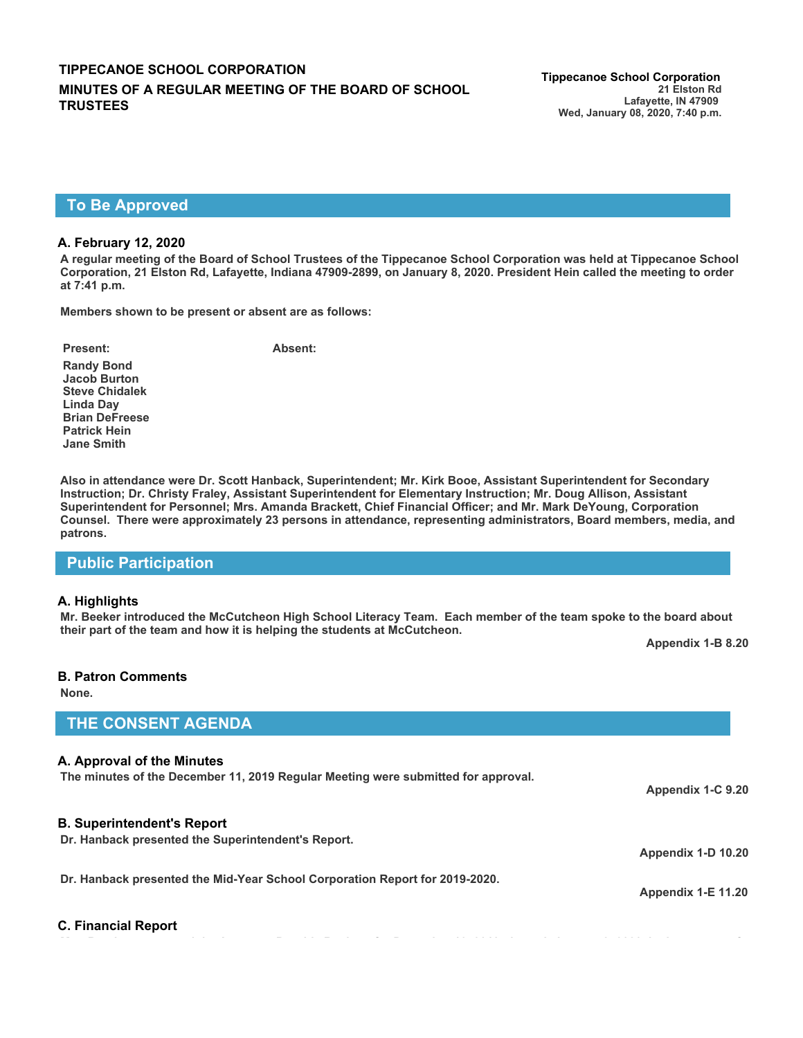# **TIPPECANOE SCHOOL CORPORATION Tippecanoe School Corporation MINUTES OF A REGULAR MEETING OF THE BOARD OF SCHOOL TRUSTEES**

# **To Be Approved**

#### **A. February 12, 2020**

**A regular meeting of the Board of School Trustees of the Tippecanoe School Corporation was held at Tippecanoe School Corporation, 21 Elston Rd, Lafayette, Indiana 47909-2899, on January 8, 2020. President Hein called the meeting to order at 7:41 p.m.**

**Members shown to be present or absent are as follows:**

**Present: Absent: Randy Bond Jacob Burton Steve Chidalek Linda Day Brian DeFreese Patrick Hein Jane Smith**

**Also in attendance were Dr. Scott Hanback, Superintendent; Mr. Kirk Booe, Assistant Superintendent for Secondary Instruction; Dr. Christy Fraley, Assistant Superintendent for Elementary Instruction; Mr. Doug Allison, Assistant Superintendent for Personnel; Mrs. Amanda Brackett, Chief Financial Officer; and Mr. Mark DeYoung, Corporation Counsel. There were approximately 23 persons in attendance, representing administrators, Board members, media, and patrons.**

## **Public Participation**

### **A. Highlights**

**Mr. Beeker introduced the McCutcheon High School Literacy Team. Each member of the team spoke to the board about their part of the team and how it is helping the students at McCutcheon.** 

**Appendix 1-B 8.20**

#### **B. Patron Comments**

**None.**

## **THE CONSENT AGENDA**

### **A. Approval of the Minutes**

**The minutes of the December 11, 2019 Regular Meeting were submitted for approval.**

### **B. Superintendent's Report**

**Dr. Hanback presented the Superintendent's Report.** 

**Dr. Hanback presented the Mid-Year School Corporation Report for 2019-2020.**

### **C. Financial Report**

**Appendix 1-C 9.20**

**Appendix 1-D 10.20**

**Appendix 1-E 11.20**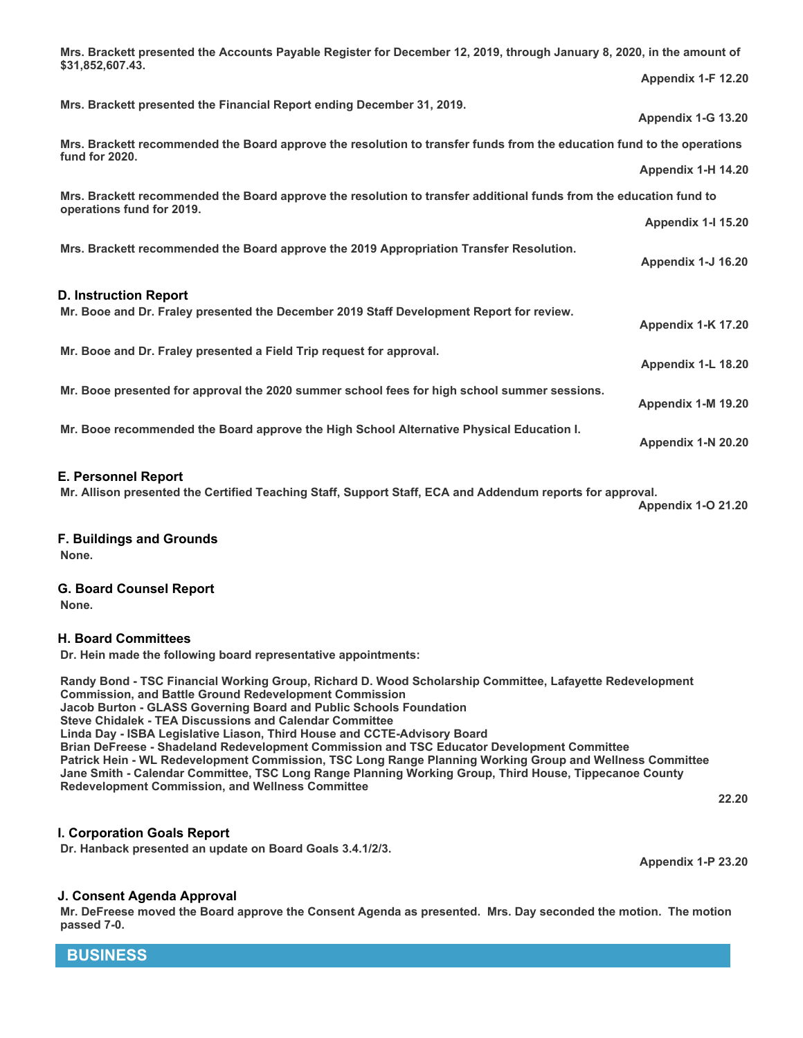| Mrs. Brackett presented the Accounts Payable Register for December 12, 2019, through January 8, 2020, in the amount of<br>\$31,852,607.43.      |                    |
|-------------------------------------------------------------------------------------------------------------------------------------------------|--------------------|
|                                                                                                                                                 | Appendix 1-F 12.20 |
| Mrs. Brackett presented the Financial Report ending December 31, 2019.                                                                          | Appendix 1-G 13.20 |
| Mrs. Brackett recommended the Board approve the resolution to transfer funds from the education fund to the operations<br>fund for 2020.        |                    |
|                                                                                                                                                 | Appendix 1-H 14.20 |
| Mrs. Brackett recommended the Board approve the resolution to transfer additional funds from the education fund to<br>operations fund for 2019. |                    |
|                                                                                                                                                 | Appendix 1-I 15.20 |
| Mrs. Brackett recommended the Board approve the 2019 Appropriation Transfer Resolution.                                                         | Appendix 1-J 16.20 |
| <b>D. Instruction Report</b>                                                                                                                    |                    |
| Mr. Booe and Dr. Fraley presented the December 2019 Staff Development Report for review.                                                        | Appendix 1-K 17.20 |
| Mr. Booe and Dr. Fraley presented a Field Trip request for approval.                                                                            | Appendix 1-L 18.20 |
| Mr. Booe presented for approval the 2020 summer school fees for high school summer sessions.                                                    | Appendix 1-M 19.20 |
| Mr. Booe recommended the Board approve the High School Alternative Physical Education I.                                                        | Appendix 1-N 20.20 |
| <b>E. Personnel Report</b>                                                                                                                      |                    |

**Mr. Allison presented the Certified Teaching Staff, Support Staff, ECA and Addendum reports for approval.** 

**Appendix 1-O 21.20**

**F. Buildings and Grounds None.**

**G. Board Counsel Report** 

**None.**

## **H. Board Committees**

**Dr. Hein made the following board representative appointments:**

**Randy Bond - TSC Financial Working Group, Richard D. Wood Scholarship Committee, Lafayette Redevelopment Commission, and Battle Ground Redevelopment Commission Jacob Burton - GLASS Governing Board and Public Schools Foundation Steve Chidalek - TEA Discussions and Calendar Committee Linda Day - ISBA Legislative Liason, Third House and CCTE-Advisory Board Brian DeFreese - Shadeland Redevelopment Commission and TSC Educator Development Committee Patrick Hein - WL Redevelopment Commission, TSC Long Range Planning Working Group and Wellness Committee Jane Smith - Calendar Committee, TSC Long Range Planning Working Group, Third House, Tippecanoe County Redevelopment Commission, and Wellness Committee** 

**22.20**

**Appendix 1-P 23.20**

## **I. Corporation Goals Report**

**Dr. Hanback presented an update on Board Goals 3.4.1/2/3.** 

### **J. Consent Agenda Approval**

**Mr. DeFreese moved the Board approve the Consent Agenda as presented. Mrs. Day seconded the motion. The motion passed 7-0.**

**BUSINESS**